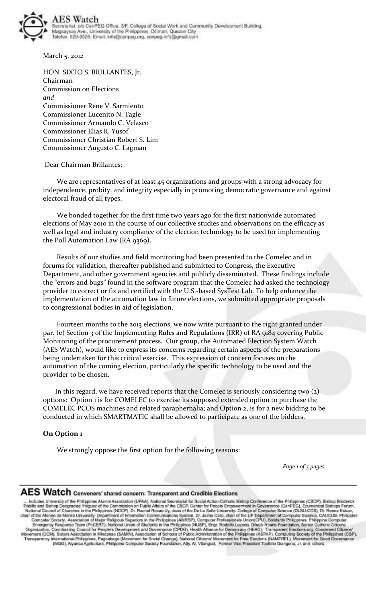

March 5, 2012

HON. SIXTO S. BRILLANTES, Jr. Chairman Commission on Elections *and*  Commissioner Rene V. Sarmiento Commissioner Lucenito N. Tagle Commissioner Armando C. Velasco Commissioner Elias R. Yusof Commissioner Christian Robert S. Lim Commissioner Augusto C. Lagman

#### Dear Chairman Brillantes:

 We are representatives of at least 45 organizations and groups with a strong advocacy for independence, probity, and integrity especially in promoting democratic governance and against electoral fraud of all types.

 We bonded together for the first time two years ago for the first nationwide automated elections of May 2010 in the course of our collective studies and observations on the efficacy as well as legal and industry compliance of the election technology to be used for implementing the Poll Automation Law (RA 9369).

 Results of our studies and field monitoring had been presented to the Comelec and in forums for validation, thereafter published and submitted to Congress, the Executive Department, and other government agencies and publicly disseminated. These findings include the "errors and bugs" found in the software program that the Comelec had asked the technology provider to correct or fix and certified with the U.S.-based SysTest Lab. To help enhance the implementation of the automation law in future elections, we submitted appropriate proposals to congressional bodies in aid of legislation.

 Fourteen months to the 2013 elections, we now write pursuant to the right granted under par. (e) Section 3 of the Implementing Rules and Regulations (IRR) of RA 9184 covering Public Monitoring of the procurement process. Our group, the Automated Election System Watch (AES Watch), would like to express its concerns regarding certain aspects of the preparations being undertaken for this critical exercise. This expression of concern focuses on the automation of the coming election, particularly the specific technology to be used and the provider to be chosen.

 In this regard, we have received reports that the Comelec is seriously considering two (2) options: Option 1 is for COMELEC to exercise its supposed extended option to purchase the COMELEC PCOS machines and related paraphernalia; and Option 2, is for a new bidding to be conducted in which SMARTMATIC shall be allowed to participate as one of the bidders.

#### **On Option 1**

We strongly oppose the first option for the following reasons:

*Page 1 of 5 pages* 

# AES Watch Conveners' shared concern: Transparent and Credible Elections

-... Industry between the Philippines Ahenral Society in Transparent and Creative Lieccocons<br>-... Industry and Bishop Decepters Marini Association (UPAA), National Secretarist for Social Action-Catholic Bishop Conference o (MGG), Alyansa Agrikultura, Philippine Computer Society Foundation, Atty. Al, Vitangcol, Former Vice President Techsto Guingona, Jr. and others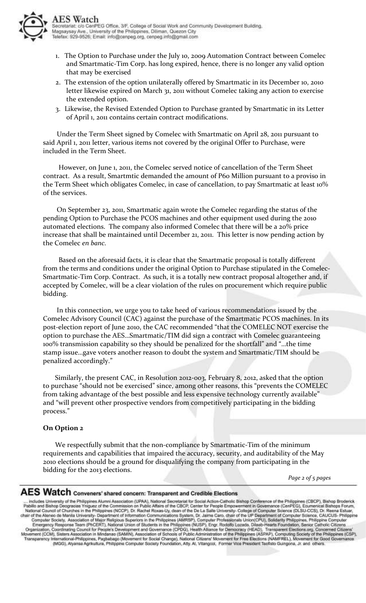- 1. The Option to Purchase under the July 10, 2009 Automation Contract between Comelec and Smartmatic-Tim Corp. has long expired, hence, there is no longer any valid option that may be exercised
- 2. The extension of the option unilaterally offered by Smartmatic in its December 10, 2010 letter likewise expired on March 31, 2011 without Comelec taking any action to exercise the extended option.
- 3. Likewise, the Revised Extended Option to Purchase granted by Smartmatic in its Letter of April 1, 2011 contains certain contract modifications.

 Under the Term Sheet signed by Comelec with Smartmatic on April 28, 2011 pursuant to said April 1, 2011 letter, various items not covered by the original Offer to Purchase, were included in the Term Sheet.

 However, on June 1, 2011, the Comelec served notice of cancellation of the Term Sheet contract. As a result, Smartmtic demanded the amount of P60 Million pursuant to a proviso in the Term Sheet which obligates Comelec, in case of cancellation, to pay Smartmatic at least 10% of the services.

 On September 23, 2011, Smartmatic again wrote the Comelec regarding the status of the pending Option to Purchase the PCOS machines and other equipment used during the 2010 automated elections. The company also informed Comelec that there will be a 20% price increase that shall be maintained until December 21, 2011. This letter is now pending action by the Comelec *en banc.* 

 Based on the aforesaid facts, it is clear that the Smartmatic proposal is totally different from the terms and conditions under the original Option to Purchase stipulated in the Comelec-Smartmatic-Tim Corp. Contract. As such, it is a totally new contract proposal altogether and, if accepted by Comelec, will be a clear violation of the rules on procurement which require public bidding.

 In this connection, we urge you to take heed of various recommendations issued by the Comelec Advisory Council (CAC) against the purchase of the Smartmatic PCOS machines. In its post-election report of June 2010, the CAC recommended "that the COMELEC NOT exercise the option to purchase the AES…Smartmatic/TIM did sign a contract with Comelec guaranteeing 100% transmission capability so they should be penalized for the shortfall" and "…the time stamp issue…gave voters another reason to doubt the system and Smartmatic/TIM should be penalized accordingly."

 Similarly, the present CAC, in Resolution 2012-003, February 8, 2012, asked that the option to purchase "should not be exercised" since, among other reasons, this "prevents the COMELEC from taking advantage of the best possible and less expensive technology currently available" and "will prevent other prospective vendors from competitively participating in the bidding process."

#### **On Option 2**

 We respectfully submit that the non-compliance by Smartmatic-Tim of the minimum requirements and capabilities that impaired the accuracy, security, and auditability of the May 2010 elections should be a ground for disqualifying the company from participating in the bidding for the 2013 elections.

*Page 2 of 5 pages*

## $\mathbf{AES}\ \mathsf{Watch}\ \mathsf{converers}$ ' shared concern: Transparent and Credible Elections

... Indudes University of the Philippines Alumi Association (IPAA), National Secret Exists for Social Action Catholic Bishop Conference of the Philippines (CBCP), Bishop Brodenck<br>Pablik and Bishop Deogradas Yngua of the Co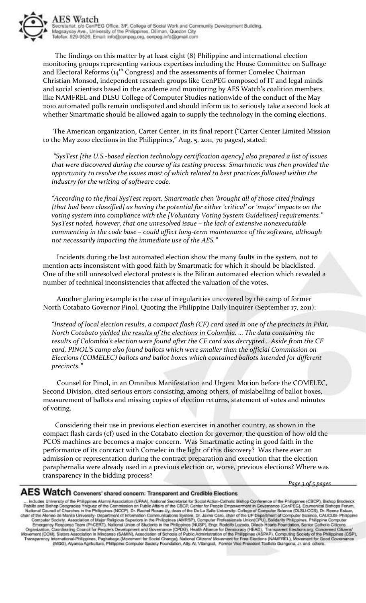

 The findings on this matter by at least eight (8) Philippine and international election monitoring groups representing various expertises including the House Committee on Suffrage and Electoral Reforms  $(a<sub>4</sub><sup>th</sup> Congress)$  and the assessments of former Comelec Chairman Christian Monsod, independent research groups like CenPEG composed of IT and legal minds and social scientists based in the academe and monitoring by AES Watch's coalition members like NAMFREL and DLSU College of Computer Studies nationwide of the conduct of the May 2010 automated polls remain undisputed and should inform us to seriously take a second look at whether Smartmatic should be allowed again to supply the technology in the coming elections.

 The American organization, Carter Center, in its final report ("Carter Center Limited Mission to the May 2010 elections in the Philippines," Aug. 5, 2011, 70 pages), stated:

 *"SysTest [the U.S.-based election technology certification agency] also prepared a list of issues that were discovered during the course of its testing process. Smartmatic was then provided the opportunity to resolve the issues most of which related to best practices followed within the industry for the writing of software code.* 

*"According to the final SysTest report, Smartmatic then 'brought all of those cited findings [that had been classified] as having the potential for either 'critical' or 'major' impacts on the voting system into compliance with the [Voluntary Voting System Guidelines] requirements." SysTest noted, however, that one unresolved issue – the lack of extensive nonexecutable commenting in the code base – could affect long-term maintenance of the software, although not necessarily impacting the immediate use of the AES."* 

 Incidents during the last automated election show the many faults in the system, not to mention acts inconsistent with good faith by Smartmatic for which it should be blacklisted. One of the still unresolved electoral protests is the Biliran automated election which revealed a number of technical inconsistencies that affected the valuation of the votes.

 Another glaring example is the case of irregularities uncovered by the camp of former North Cotabato Governor Pinol. Quoting the Philippine Daily Inquirer (September 17, 2011):

*"Instead of local election results, a compact flash (CF) card used in one of the precincts in Pikit, North Cotabato yielded the results of the elections in Colombia. … The data containing the results of Colombia's election were found after the CF card was decrypted… Aside from the CF card, PINOL'S camp also found ballots which were smaller than the official Commission on Elections (COMELEC) ballots and ballot boxes which contained ballots intended for different precincts."* 

 Counsel for Pinol, in an Omnibus Manifestation and Urgent Motion before the COMELEC, Second Division, cited serious errors consisting, among others, of mislabelling of ballot boxes, measurement of ballots and missing copies of election returns, statement of votes and minutes of voting.

 Considering their use in previous election exercises in another country, as shown in the compact flash cards (cf) used in the Cotabato election for governor, the question of how old the PCOS machines are becomes a major concern. Was Smartmatic acting in good faith in the performance of its contract with Comelec in the light of this discovery? Was there ever an admission or representation during the contract preparation and execution that the election paraphernalia were already used in a previous election or, worse, previous elections? Where was transparency in the bidding process?

*Page 3 of 5 pages*

## $\mathbf{AES}\ \mathsf{Watch}\ \mathsf{converers}$ ' shared concern: Transparent and Credible Elections

.... India Bishop Doctress Strategy CBCP), Bishop Broderics ..... Including Secret Market Market Market Market Market Market Market Market Market Market Market Market Market Market Market Market Market Market Market Market (MGG), Alyansa Agrikultura, Philippine Computer Society Foundation, Atty. Al, Vitangcol, Former Vice President Techsto Guingona, Jr. and others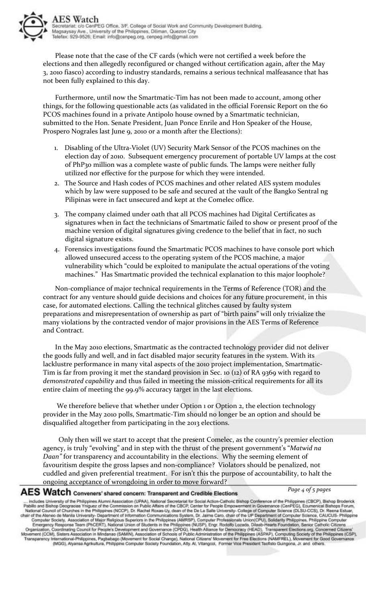Please note that the case of the CF cards (which were not certified a week before the elections and then allegedly reconfigured or changed without certification again, after the May 3, 2010 fiasco) according to industry standards, remains a serious technical malfeasance that has not been fully explained to this day.

 Furthermore, until now the Smartmatic-Tim has not been made to account, among other things, for the following questionable acts (as validated in the official Forensic Report on the 60 PCOS machines found in a private Antipolo house owned by a Smartmatic technician, submitted to the Hon. Senate President, Juan Ponce Enrile and Hon Speaker of the House, Prospero Nograles last June 9, 2010 or a month after the Elections):

- 1. Disabling of the Ultra-Violet (UV) Security Mark Sensor of the PCOS machines on the election day of 2010. Subsequent emergency procurement of portable UV lamps at the cost of PhP30 million was a complete waste of public funds. The lamps were neither fully utilized nor effective for the purpose for which they were intended.
- 2. The Source and Hash codes of PCOS machines and other related AES system modules which by law were supposed to be safe and secured at the vault of the Bangko Sentral ng Pilipinas were in fact unsecured and kept at the Comelec office.
- 3. The company claimed under oath that all PCOS machines had Digital Certificates as signatures when in fact the technicians of Smartmatic failed to show or present proof of the machine version of digital signatures giving credence to the belief that in fact, no such digital signature exists.
- 4. Forensics investigations found the Smartmatic PCOS machines to have console port which allowed unsecured access to the operating system of the PCOS machine, a major vulnerability which "could be exploited to manipulate the actual operations of the voting machines." Has Smartmatic provided the technical explanation to this major loophole?

 Non-compliance of major technical requirements in the Terms of Reference (TOR) and the contract for any venture should guide decisions and choices for any future procurement, in this case, for automated elections. Calling the technical glitches caused by faulty system preparations and misrepresentation of ownership as part of "birth pains" will only trivialize the many violations by the contracted vendor of major provisions in the AES Terms of Reference and Contract.

 In the May 2010 elections, Smartmatic as the contracted technology provider did not deliver the goods fully and well, and in fact disabled major security features in the system. With its lacklustre performance in many vital aspects of the 2010 project implementation, Smartmatic-Tim is far from proving it met the standard provision in Sec. 10 (12) of RA 9369 with regard to *demonstrated capability* and thus failed in meeting the mission-critical requirements for all its entire claim of meeting the 99.9% accuracy target in the last elections.

We therefore believe that whether under Option 1 or Option 2, the election technology provider in the May 2010 polls, Smartmatic-Tim should no longer be an option and should be disqualified altogether from participating in the 2013 elections.

 Only then will we start to accept that the present Comelec, as the country's premier election agency, is truly "evolving" and in step with the thrust of the present government's "*Matwid na Daan"* for transparency and accountability in the elections. Why the seeming element of favouritism despite the gross lapses and non-compliance? Violators should be penalized, not cuddled and given preferential treatment. For isn't this the purpose of accountability, to halt the ongoing acceptance of wrongdoing in order to move forward?

## $\mathbf{AES}\ \mathsf{Watch}\ \mathsf{convers'}$  shared concern: Transparent and Credible Elections

*Page 4 of 5 pages*

... Indudes University of He Philippines Alternal Contentine Transporter and Creative Lifectocide<br>... Indudes University of the Philippines Alternal Association (UPAA), National Secretarial of Churchs in the Philippines (N (MGG), Alyansa Agrikultura, Philippine Computer Society Foundation, Atty. Al, Vitangcol, Former Vice President Techsto Guingona, Jr. and others